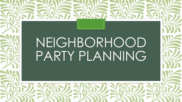# NEIGHBORHOOD PARTY PLANNING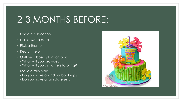## 2-3 MONTHS BEFORE:

- Choose a location
- Nail down a date
- Pick a theme
- Recruit help
- Outline a basic plan for food:
	- What will you provide?
	- What will you ask others to bring?
- Make a rain plan
	- Do you have an indoor back-up?
	- Do you have a rain date set?

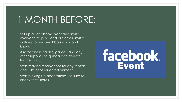### 1 MONTH BEFORE:

- Set up a Facebook Event and invite everyone to join. Send out email invites or flyers to any neighbors you don't know.
- Ask for chairs, tables, games, and any other supplies neighbors can donate for the party,
- Start making reservations for any rentals and DJ's or other entertainment.
- Start picking up decorations. Be sure to check thrift stores!

# facebook.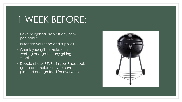### 1 WEEK BEFORE:

- Have neighbors drop off any nonperishables.
- Purchase your food and supplies
- Check your grill to make sure it's working and gather any grilling supplies.
- Double check RSVP's in your Facebook group and make sure you have planned enough food for everyone.